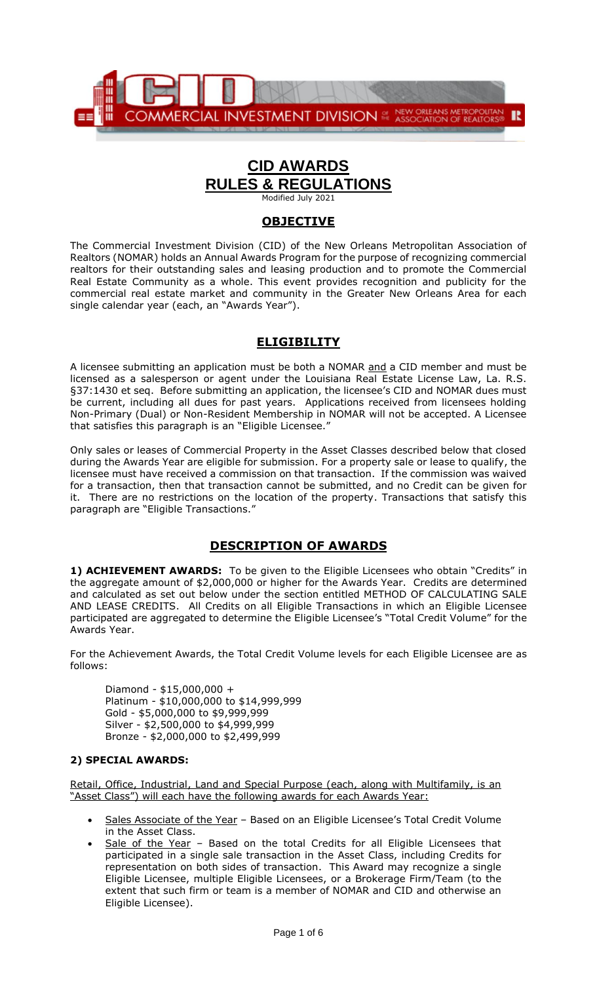

# **CID AWARDS RULES & REGULATIONS**

Modified July 2021

### **OBJECTIVE**

The Commercial Investment Division (CID) of the New Orleans Metropolitan Association of Realtors (NOMAR) holds an Annual Awards Program for the purpose of recognizing commercial realtors for their outstanding sales and leasing production and to promote the Commercial Real Estate Community as a whole. This event provides recognition and publicity for the commercial real estate market and community in the Greater New Orleans Area for each single calendar year (each, an "Awards Year").

# **ELIGIBILITY**

A licensee submitting an application must be both a NOMAR and a CID member and must be licensed as a salesperson or agent under the Louisiana Real Estate License Law, La. R.S. §37:1430 et seq. Before submitting an application, the licensee's CID and NOMAR dues must be current, including all dues for past years. Applications received from licensees holding Non-Primary (Dual) or Non-Resident Membership in NOMAR will not be accepted. A Licensee that satisfies this paragraph is an "Eligible Licensee."

Only sales or leases of Commercial Property in the Asset Classes described below that closed during the Awards Year are eligible for submission. For a property sale or lease to qualify, the licensee must have received a commission on that transaction. If the commission was waived for a transaction, then that transaction cannot be submitted, and no Credit can be given for it. There are no restrictions on the location of the property. Transactions that satisfy this paragraph are "Eligible Transactions."

# **DESCRIPTION OF AWARDS**

**1) ACHIEVEMENT AWARDS:** To be given to the Eligible Licensees who obtain "Credits" in the aggregate amount of \$2,000,000 or higher for the Awards Year. Credits are determined and calculated as set out below under the section entitled METHOD OF CALCULATING SALE AND LEASE CREDITS. All Credits on all Eligible Transactions in which an Eligible Licensee participated are aggregated to determine the Eligible Licensee's "Total Credit Volume" for the Awards Year.

For the Achievement Awards, the Total Credit Volume levels for each Eligible Licensee are as follows:

Diamond - \$15,000,000 + Platinum - \$10,000,000 to \$14,999,999 Gold - \$5,000,000 to \$9,999,999 Silver - \$2,500,000 to \$4,999,999 Bronze - \$2,000,000 to \$2,499,999

#### **2) SPECIAL AWARDS:**

Retail, Office, Industrial, Land and Special Purpose (each, along with Multifamily, is an "Asset Class") will each have the following awards for each Awards Year:

- Sales Associate of the Year Based on an Eligible Licensee's Total Credit Volume in the Asset Class.
- Sale of the Year Based on the total Credits for all Eligible Licensees that participated in a single sale transaction in the Asset Class, including Credits for representation on both sides of transaction. This Award may recognize a single Eligible Licensee, multiple Eligible Licensees, or a Brokerage Firm/Team (to the extent that such firm or team is a member of NOMAR and CID and otherwise an Eligible Licensee).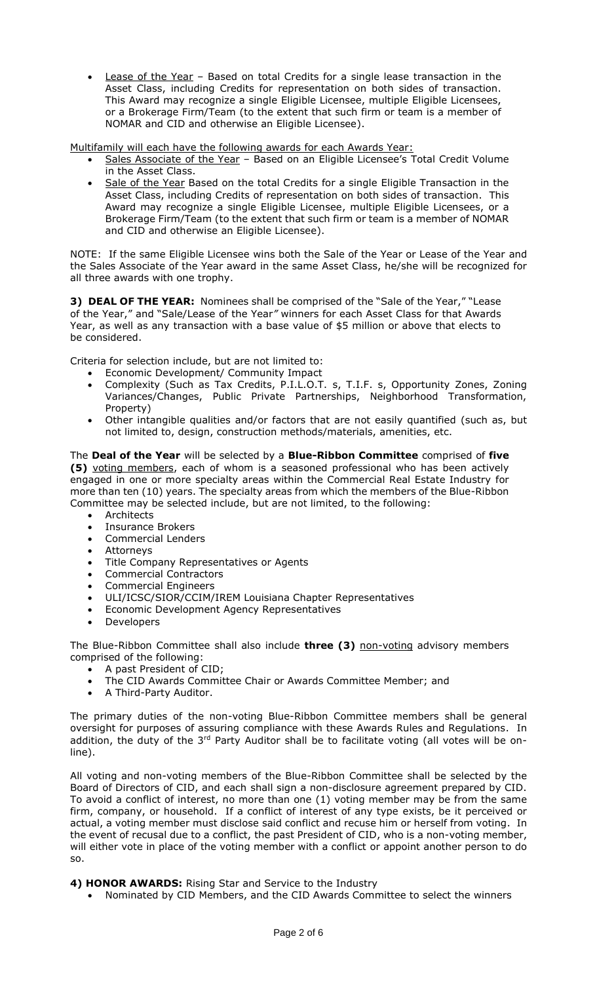Lease of the Year - Based on total Credits for a single lease transaction in the Asset Class, including Credits for representation on both sides of transaction. This Award may recognize a single Eligible Licensee, multiple Eligible Licensees, or a Brokerage Firm/Team (to the extent that such firm or team is a member of NOMAR and CID and otherwise an Eligible Licensee).

Multifamily will each have the following awards for each Awards Year:

- Sales Associate of the Year Based on an Eligible Licensee's Total Credit Volume in the Asset Class.
- Sale of the Year Based on the total Credits for a single Eligible Transaction in the Asset Class, including Credits of representation on both sides of transaction. This Award may recognize a single Eligible Licensee, multiple Eligible Licensees, or a Brokerage Firm/Team (to the extent that such firm or team is a member of NOMAR and CID and otherwise an Eligible Licensee).

NOTE: If the same Eligible Licensee wins both the Sale of the Year or Lease of the Year and the Sales Associate of the Year award in the same Asset Class, he/she will be recognized for all three awards with one trophy.

**3) DEAL OF THE YEAR:** Nominees shall be comprised of the "Sale of the Year," "Lease of the Year," and "Sale/Lease of the Year*"* winners for each Asset Class for that Awards Year, as well as any transaction with a base value of \$5 million or above that elects to be considered.

Criteria for selection include, but are not limited to:

- Economic Development/ Community Impact
- Complexity (Such as Tax Credits, P.I.L.O.T. s, T.I.F. s, Opportunity Zones, Zoning Variances/Changes, Public Private Partnerships, Neighborhood Transformation, Property)
- Other intangible qualities and/or factors that are not easily quantified (such as, but not limited to, design, construction methods/materials, amenities, etc.

The **Deal of the Year** will be selected by a **Blue-Ribbon Committee** comprised of **five (5)** voting members, each of whom is a seasoned professional who has been actively engaged in one or more specialty areas within the Commercial Real Estate Industry for more than ten (10) years. The specialty areas from which the members of the Blue-Ribbon Committee may be selected include, but are not limited, to the following:

- Architects
- Insurance Brokers
- Commercial Lenders
- Attorneys
- Title Company Representatives or Agents
- Commercial Contractors
- Commercial Engineers
- ULI/ICSC/SIOR/CCIM/IREM Louisiana Chapter Representatives
- Economic Development Agency Representatives
- **Developers**

The Blue-Ribbon Committee shall also include **three (3)** non-voting advisory members comprised of the following:

- A past President of CID;
- The CID Awards Committee Chair or Awards Committee Member; and
- A Third-Party Auditor.

The primary duties of the non-voting Blue-Ribbon Committee members shall be general oversight for purposes of assuring compliance with these Awards Rules and Regulations. In addition, the duty of the 3<sup>rd</sup> Party Auditor shall be to facilitate voting (all votes will be online).

All voting and non-voting members of the Blue-Ribbon Committee shall be selected by the Board of Directors of CID, and each shall sign a non-disclosure agreement prepared by CID. To avoid a conflict of interest, no more than one (1) voting member may be from the same firm, company, or household. If a conflict of interest of any type exists, be it perceived or actual, a voting member must disclose said conflict and recuse him or herself from voting. In the event of recusal due to a conflict, the past President of CID, who is a non-voting member, will either vote in place of the voting member with a conflict or appoint another person to do so.

**4) HONOR AWARDS:** Rising Star and Service to the Industry

• Nominated by CID Members, and the CID Awards Committee to select the winners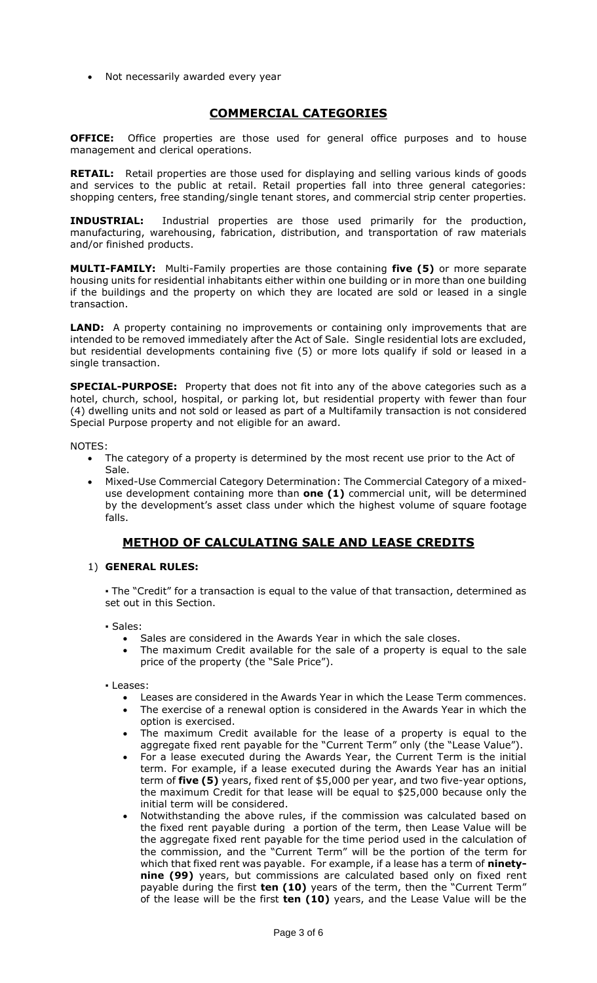• Not necessarily awarded every year

# **COMMERCIAL CATEGORIES**

**OFFICE:** Office properties are those used for general office purposes and to house management and clerical operations.

**RETAIL:** Retail properties are those used for displaying and selling various kinds of goods and services to the public at retail. Retail properties fall into three general categories: shopping centers, free standing/single tenant stores, and commercial strip center properties.

**INDUSTRIAL:** Industrial properties are those used primarily for the production, manufacturing, warehousing, fabrication, distribution, and transportation of raw materials and/or finished products.

**MULTI-FAMILY:** Multi-Family properties are those containing **five (5)** or more separate housing units for residential inhabitants either within one building or in more than one building if the buildings and the property on which they are located are sold or leased in a single transaction.

**LAND:** A property containing no improvements or containing only improvements that are intended to be removed immediately after the Act of Sale. Single residential lots are excluded, but residential developments containing five (5) or more lots qualify if sold or leased in a single transaction.

**SPECIAL-PURPOSE:** Property that does not fit into any of the above categories such as a hotel, church, school, hospital, or parking lot, but residential property with fewer than four (4) dwelling units and not sold or leased as part of a Multifamily transaction is not considered Special Purpose property and not eligible for an award.

NOTES:

- The category of a property is determined by the most recent use prior to the Act of Sale.
- Mixed-Use Commercial Category Determination: The Commercial Category of a mixeduse development containing more than **one (1)** commercial unit, will be determined by the development's asset class under which the highest volume of square footage falls.

# **METHOD OF CALCULATING SALE AND LEASE CREDITS**

#### 1) **GENERAL RULES:**

**▪** The "Credit" for a transaction is equal to the value of that transaction, determined as set out in this Section.

▪ Sales:

- Sales are considered in the Awards Year in which the sale closes.
- The maximum Credit available for the sale of a property is equal to the sale price of the property (the "Sale Price").
- Leases:
	- Leases are considered in the Awards Year in which the Lease Term commences.
	- The exercise of a renewal option is considered in the Awards Year in which the option is exercised.
	- The maximum Credit available for the lease of a property is equal to the aggregate fixed rent payable for the "Current Term" only (the "Lease Value").
	- For a lease executed during the Awards Year, the Current Term is the initial term. For example, if a lease executed during the Awards Year has an initial term of **five (5)** years, fixed rent of \$5,000 per year, and two five-year options, the maximum Credit for that lease will be equal to \$25,000 because only the initial term will be considered.
	- Notwithstanding the above rules, if the commission was calculated based on the fixed rent payable during a portion of the term, then Lease Value will be the aggregate fixed rent payable for the time period used in the calculation of the commission, and the "Current Term" will be the portion of the term for which that fixed rent was payable. For example, if a lease has a term of **ninetynine (99)** years, but commissions are calculated based only on fixed rent payable during the first **ten (10)** years of the term, then the "Current Term" of the lease will be the first **ten (10)** years, and the Lease Value will be the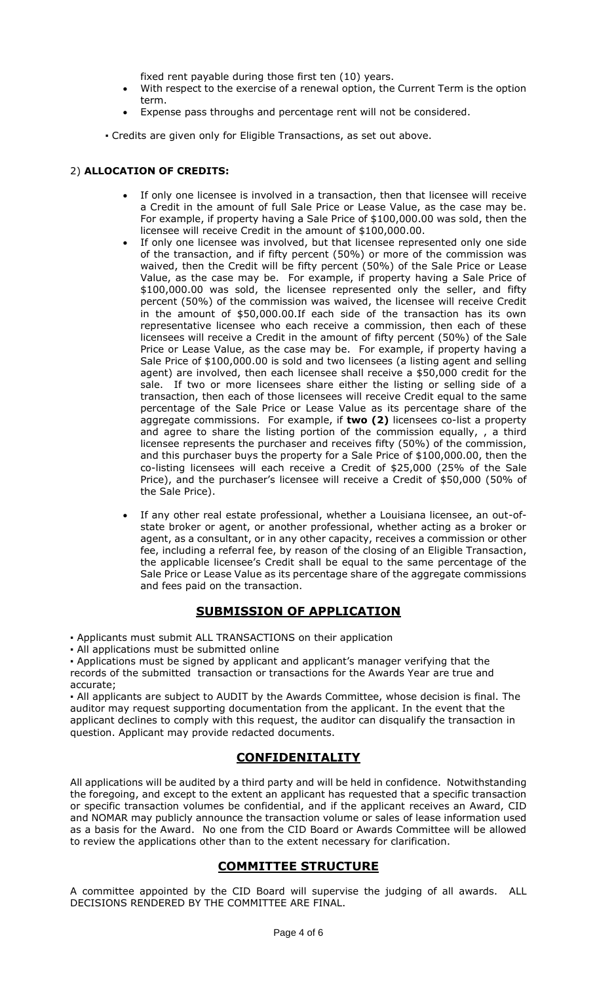fixed rent payable during those first ten (10) years.

- With respect to the exercise of a renewal option, the Current Term is the option term.
- Expense pass throughs and percentage rent will not be considered.
- Credits are given only for Eligible Transactions, as set out above.

#### 2) **ALLOCATION OF CREDITS:**

- If only one licensee is involved in a transaction, then that licensee will receive a Credit in the amount of full Sale Price or Lease Value, as the case may be. For example, if property having a Sale Price of \$100,000.00 was sold, then the licensee will receive Credit in the amount of \$100,000.00.
- If only one licensee was involved, but that licensee represented only one side of the transaction, and if fifty percent (50%) or more of the commission was waived, then the Credit will be fifty percent (50%) of the Sale Price or Lease Value, as the case may be. For example, if property having a Sale Price of \$100,000.00 was sold, the licensee represented only the seller, and fifty percent (50%) of the commission was waived, the licensee will receive Credit in the amount of \$50,000.00.If each side of the transaction has its own representative licensee who each receive a commission, then each of these licensees will receive a Credit in the amount of fifty percent (50%) of the Sale Price or Lease Value, as the case may be. For example, if property having a Sale Price of \$100,000.00 is sold and two licensees (a listing agent and selling agent) are involved, then each licensee shall receive a \$50,000 credit for the sale. If two or more licensees share either the listing or selling side of a transaction, then each of those licensees will receive Credit equal to the same percentage of the Sale Price or Lease Value as its percentage share of the aggregate commissions. For example, if **two (2)** licensees co-list a property and agree to share the listing portion of the commission equally, , a third licensee represents the purchaser and receives fifty (50%) of the commission, and this purchaser buys the property for a Sale Price of \$100,000.00, then the co-listing licensees will each receive a Credit of \$25,000 (25% of the Sale Price), and the purchaser's licensee will receive a Credit of \$50,000 (50% of the Sale Price).
- If any other real estate professional, whether a Louisiana licensee, an out-ofstate broker or agent, or another professional, whether acting as a broker or agent, as a consultant, or in any other capacity, receives a commission or other fee, including a referral fee, by reason of the closing of an Eligible Transaction, the applicable licensee's Credit shall be equal to the same percentage of the Sale Price or Lease Value as its percentage share of the aggregate commissions and fees paid on the transaction.

# **SUBMISSION OF APPLICATION**

▪ Applicants must submit ALL TRANSACTIONS on their application

• All applications must be submitted online

▪ Applications must be signed by applicant and applicant's manager verifying that the records of the submitted transaction or transactions for the Awards Year are true and accurate;

▪ All applicants are subject to AUDIT by the Awards Committee, whose decision is final. The auditor may request supporting documentation from the applicant. In the event that the applicant declines to comply with this request, the auditor can disqualify the transaction in question. Applicant may provide redacted documents.

# **CONFIDENITALITY**

All applications will be audited by a third party and will be held in confidence. Notwithstanding the foregoing, and except to the extent an applicant has requested that a specific transaction or specific transaction volumes be confidential, and if the applicant receives an Award, CID and NOMAR may publicly announce the transaction volume or sales of lease information used as a basis for the Award. No one from the CID Board or Awards Committee will be allowed to review the applications other than to the extent necessary for clarification.

# **COMMITTEE STRUCTURE**

A committee appointed by the CID Board will supervise the judging of all awards. ALL DECISIONS RENDERED BY THE COMMITTEE ARE FINAL.